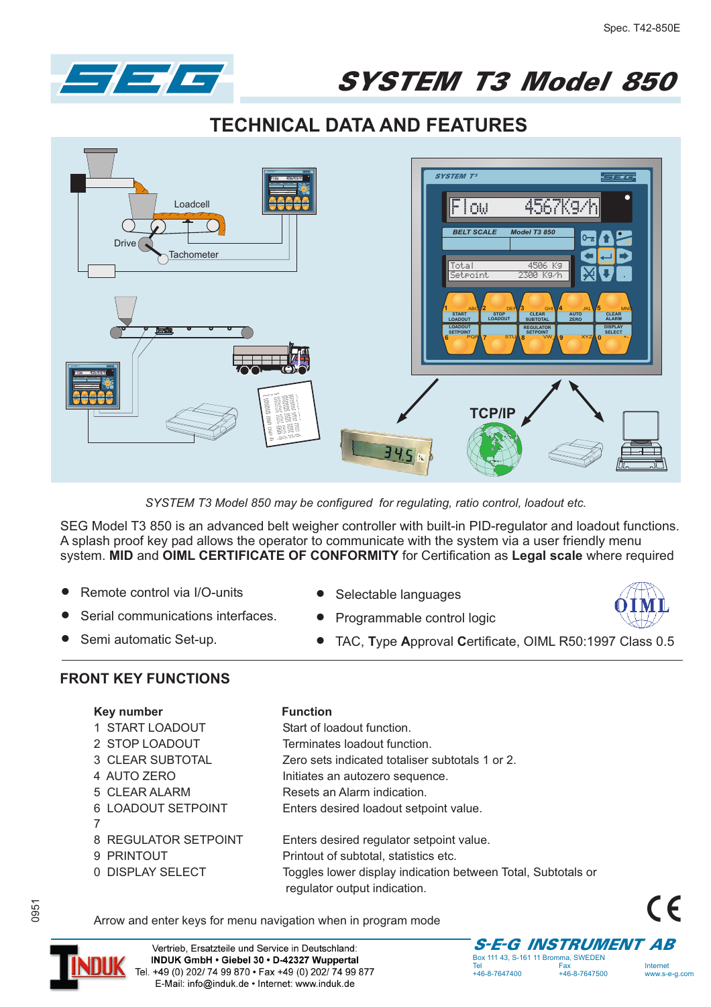

## SYSTEM T3 Model 850

## **TECHNICAL DATA AND FEATURES**



*SYSTEM T3 Model 850 may be configured for regulating, ratio control, loadout etc.*

SEG Model T3 850 is an advanced belt weigher controller with built-in PID-regulator and loadout functions. A splash proof key pad allows the operator to communicate with the system via a user friendly menu system. MID and OIML CERTIFICATE OF CONFORMITY for Certification as Legal scale where required

Start of loadout function.

 $\bullet$ 

- $\bullet$ Remote control via I/O-units
- $\bullet$ Serial communications interfaces.
- $\bullet$ Semi automatic Set-up.
- $\bullet$ Selectable languages
- $\bullet$ Programmable control logic
	- TAC, Type Approval Certificate, OIML R50:1997 Class 0.5

## **FRONT KEY FUNCTIONS FRONT KEY FUNCTIONS**

| Key number      | <b>Function</b> |
|-----------------|-----------------|
| 1 START LOADOUT | Start of lo     |

- 2 STOP LOADOUT Terminates loadout function.
- 
- 3 CLEAR SUBTOTAL Zero sets indicated totaliser subtotals 1 or 2.
- 4 AUTO ZERO **Initiates an autozero sequence.**
- 5 CLEAR ALARM Resets an Alarm indication.
- 6 LOADOUT SETPOINT Enters desired loadout setpoint value.
- 7
- 8 REGULATOR SETPOINT Enters desired regulator setpoint value.
- -
- 9 PRINTOUT Printout of subtotal, statistics etc. 0 DISPLAY SELECT Toggles lower display indication between Total, Subtotals or regulator output indication.
- Arrow and enter keys for menu navigation when in program mode